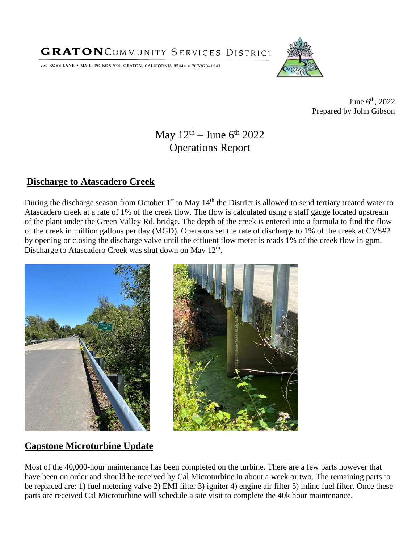**GRATON**COMMUNITY SERVICES DISTRICT

250 ROSS LANE . MAIL: PO BOX 534, GRATON, CALIFORNIA 95444 . 707/823-1542



June  $6^{\text{th}}$ , 2022 Prepared by John Gibson

# May  $12<sup>th</sup> - June 6<sup>th</sup> 2022$ Operations Report

#### **Discharge to Atascadero Creek**

During the discharge season from October 1<sup>st</sup> to May 14<sup>th</sup> the District is allowed to send tertiary treated water to Atascadero creek at a rate of 1% of the creek flow. The flow is calculated using a staff gauge located upstream of the plant under the Green Valley Rd. bridge. The depth of the creek is entered into a formula to find the flow of the creek in million gallons per day (MGD). Operators set the rate of discharge to 1% of the creek at CVS#2 by opening or closing the discharge valve until the effluent flow meter is reads 1% of the creek flow in gpm. Discharge to Atascadero Creek was shut down on May 12<sup>th</sup>.





## **Capstone Microturbine Update**

Most of the 40,000-hour maintenance has been completed on the turbine. There are a few parts however that have been on order and should be received by Cal Microturbine in about a week or two. The remaining parts to be replaced are: 1) fuel metering valve 2) EMI filter 3) igniter 4) engine air filter 5) inline fuel filter. Once these parts are received Cal Microturbine will schedule a site visit to complete the 40k hour maintenance.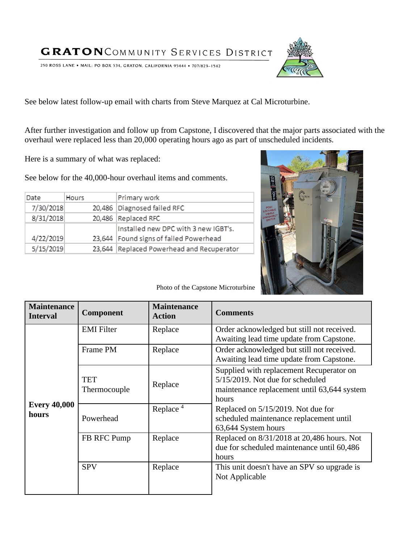**GRATON** COMMUNITY SERVICES DISTRICT

250 ROSS LANE . MAIL: PO BOX 534, GRATON, CALIFORNIA 95444 . 707/823-1542

See below latest follow-up email with charts from Steve Marquez at Cal Microturbine.

After further investigation and follow up from Capstone, I discovered that the major parts associated with the overhaul were replaced less than 20,000 operating hours ago as part of unscheduled incidents.

Here is a summary of what was replaced:

See below for the 40,000-hour overhaul items and comments.

| Date      | Hours | Primary work                              |
|-----------|-------|-------------------------------------------|
| 7/30/2018 |       | 20,486 Diagnosed failed RFC               |
| 8/31/2018 |       | 20,486 Replaced RFC                       |
|           |       | Installed new DPC with 3 new IGBT's.      |
| 4/22/2019 |       | 23,644 Found signs of failed Powerhead    |
| 5/15/2019 |       | 23,644 Replaced Powerhead and Recuperator |



Photo of the Capstone Microturbine

| <b>Maintenance</b><br><b>Interval</b> | <b>Component</b>           | <b>Maintenance</b><br><b>Action</b> | <b>Comments</b>                                                                                                                      |
|---------------------------------------|----------------------------|-------------------------------------|--------------------------------------------------------------------------------------------------------------------------------------|
| <b>Every 40,000</b><br>hours          | <b>EMI</b> Filter          | Replace                             | Order acknowledged but still not received.<br>Awaiting lead time update from Capstone.                                               |
|                                       | Frame PM                   | Replace                             | Order acknowledged but still not received.<br>Awaiting lead time update from Capstone.                                               |
|                                       | <b>TET</b><br>Thermocouple | Replace                             | Supplied with replacement Recuperator on<br>5/15/2019. Not due for scheduled<br>maintenance replacement until 63,644 system<br>hours |
|                                       | Powerhead                  | Replace $4$                         | Replaced on 5/15/2019. Not due for<br>scheduled maintenance replacement until<br>63,644 System hours                                 |
|                                       | FB RFC Pump                | Replace                             | Replaced on 8/31/2018 at 20,486 hours. Not<br>due for scheduled maintenance until 60,486<br>hours                                    |
|                                       | <b>SPV</b>                 | Replace                             | This unit doesn't have an SPV so upgrade is<br>Not Applicable                                                                        |